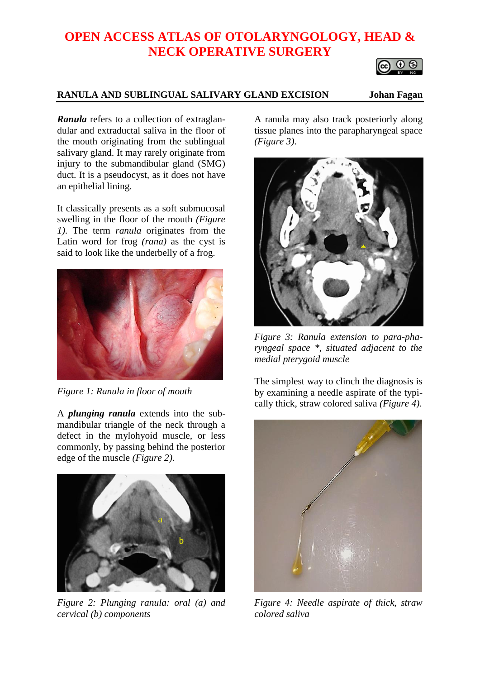# **OPEN ACCESS ATLAS OF OTOLARYNGOLOGY, HEAD & NECK OPERATIVE SURGERY**

#### **RANULA AND SUBLINGUAL SALIVARY GLAND EXCISION Johan Fagan**

*Ranula* refers to a collection of extraglandular and extraductal saliva in the floor of the mouth originating from the sublingual salivary gland. It may rarely originate from injury to the submandibular gland (SMG) duct. It is a pseudocyst, as it does not have an epithelial lining.

It classically presents as a soft submucosal swelling in the floor of the mouth *(Figure 1)*. The term *ranula* originates from the Latin word for frog *(rana)* as the cyst is said to look like the underbelly of a frog.



*Figure 1: Ranula in floor of mouth*

A *plunging ranula* extends into the submandibular triangle of the neck through a defect in the mylohyoid muscle, or less commonly, by passing behind the posterior edge of the muscle *(Figure 2)*.



*Figure 2: Plunging ranula: oral (a) and cervical (b) components*

A ranula may also track posteriorly along tissue planes into the parapharyngeal space *(Figure 3)*.



*Figure 3: Ranula extension to para-pharyngeal space \*, situated adjacent to the medial pterygoid muscle*

The simplest way to clinch the diagnosis is by examining a needle aspirate of the typically thick, straw colored saliva *(Figure 4)*.



*Figure 4: Needle aspirate of thick, straw colored saliva*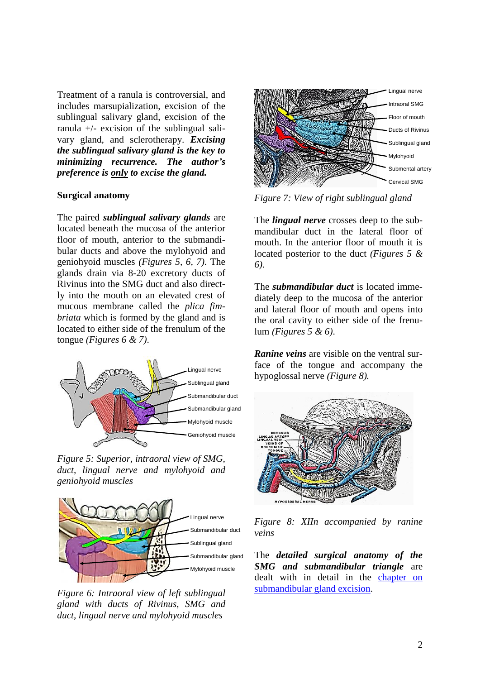Treatment of a ranula is controversial, and includes marsupialization, excision of the sublingual salivary gland, excision of the ranula +/- excision of the sublingual salivary gland, and sclerotherapy. *Excising the sublingual salivary gland is the key to minimizing recurrence. The author's preference is only to excise the gland.*

#### **Surgical anatomy**

The paired *sublingual salivary glands* are located beneath the mucosa of the anterior floor of mouth, anterior to the submandibular ducts and above the mylohyoid and geniohyoid muscles *(Figures 5, 6, 7)*. The glands drain via 8-20 excretory ducts of Rivinus into the SMG duct and also directly into the mouth on an elevated crest of mucous membrane called the *[plica fim](http://en.wikipedia.org/wiki/Plica_fimbriata)[briata](http://en.wikipedia.org/wiki/Plica_fimbriata)* which is formed by the gland and is located to either side of the frenulum of the tongue *(Figures 6 & 7)*.



*Figure 5: Superior, intraoral view of SMG, duct, lingual nerve and mylohyoid and geniohyoid muscles*



*Figure 6: Intraoral view of left sublingual gland with ducts of Rivinus, SMG and duct, lingual nerve and mylohyoid muscles*



*Figure 7: View of right sublingual gland*

The *lingual nerve* crosses deep to the submandibular duct in the lateral floor of mouth. In the anterior floor of mouth it is located posterior to the duct *(Figures 5 & 6)*.

The *submandibular duct* is located immediately deep to the mucosa of the anterior and lateral floor of mouth and opens into the oral cavity to either side of the frenulum *(Figures 5 & 6)*.

*Ranine veins* are visible on the ventral surface of the tongue and accompany the hypoglossal nerve *(Figure 8).*



*Figure 8: XIIn accompanied by ranine veins*

The *detailed surgical anatomy of the SMG and submandibular triangle* are dealt with in detail in the [chapter on](https://vula.uct.ac.za/access/content/group/ba5fb1bd-be95-48e5-81be-586fbaeba29d/Submandibular%20gland%20excision.pdf)  [submandibular gland excision.](https://vula.uct.ac.za/access/content/group/ba5fb1bd-be95-48e5-81be-586fbaeba29d/Submandibular%20gland%20excision.pdf)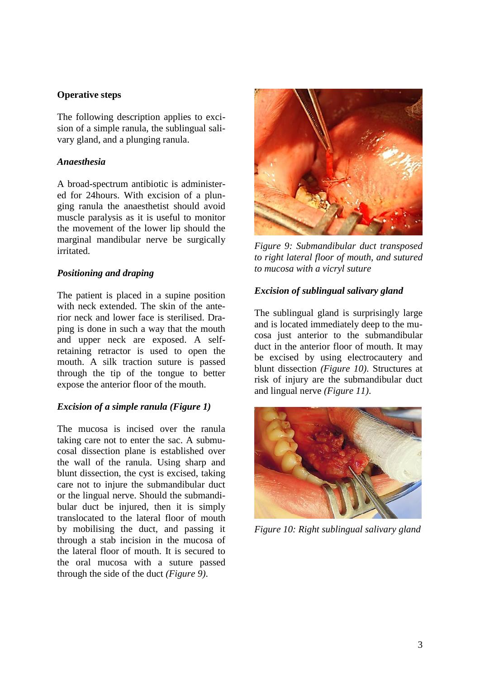#### **Operative steps**

The following description applies to excision of a simple ranula, the sublingual salivary gland, and a plunging ranula.

#### *Anaesthesia*

A broad-spectrum antibiotic is administered for 24hours. With excision of a plunging ranula the anaesthetist should avoid muscle paralysis as it is useful to monitor the movement of the lower lip should the marginal mandibular nerve be surgically irritated.

#### *Positioning and draping*

The patient is placed in a supine position with neck extended. The skin of the anterior neck and lower face is sterilised. Draping is done in such a way that the mouth and upper neck are exposed. A selfretaining retractor is used to open the mouth. A silk traction suture is passed through the tip of the tongue to better expose the anterior floor of the mouth.

#### *Excision of a simple ranula (Figure 1)*

The mucosa is incised over the ranula taking care not to enter the sac. A submucosal dissection plane is established over the wall of the ranula. Using sharp and blunt dissection, the cyst is excised, taking care not to injure the submandibular duct or the lingual nerve. Should the submandibular duct be injured, then it is simply translocated to the lateral floor of mouth by mobilising the duct, and passing it through a stab incision in the mucosa of the lateral floor of mouth. It is secured to the oral mucosa with a suture passed through the side of the duct *(Figure 9)*.



*Figure 9: Submandibular duct transposed to right lateral floor of mouth, and sutured to mucosa with a vicryl suture*

#### *Excision of sublingual salivary gland*

The sublingual gland is surprisingly large and is located immediately deep to the mucosa just anterior to the submandibular duct in the anterior floor of mouth. It may be excised by using electrocautery and blunt dissection *(Figure 10)*. Structures at risk of injury are the submandibular duct and lingual nerve *(Figure 11)*.



*Figure 10: Right sublingual salivary gland*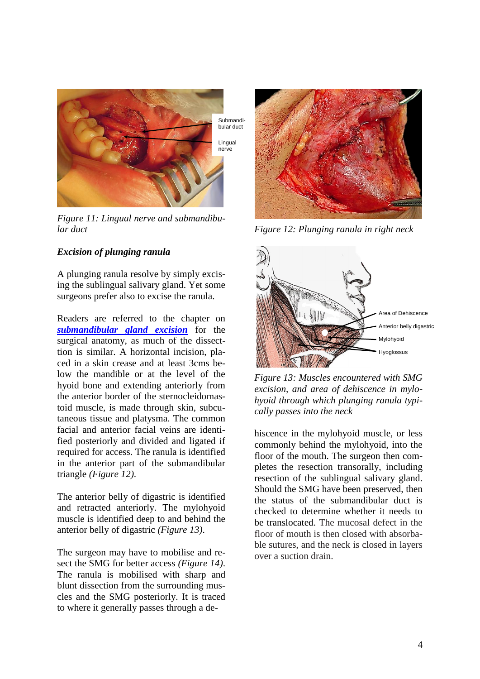

*Figure 11: Lingual nerve and submandibular duct*

### *Excision of plunging ranula*

A plunging ranula resolve by simply excising the sublingual salivary gland. Yet some surgeons prefer also to excise the ranula.

Readers are referred to the chapter on *[submandibular gland excision](https://vula.uct.ac.za/access/content/group/ba5fb1bd-be95-48e5-81be-586fbaeba29d/Submandibular%20gland%20excision.pdf)* for the surgical anatomy, as much of the dissecttion is similar. A horizontal incision, placed in a skin crease and at least 3cms below the mandible or at the level of the hyoid bone and extending anteriorly from the anterior border of the sternocleidomastoid muscle, is made through skin, subcutaneous tissue and platysma. The common facial and anterior facial veins are identified posteriorly and divided and ligated if required for access. The ranula is identified in the anterior part of the submandibular triangle *(Figure 12)*.

The anterior belly of digastric is identified and retracted anteriorly. The mylohyoid muscle is identified deep to and behind the anterior belly of digastric *(Figure 13)*.

The surgeon may have to mobilise and resect the SMG for better access *(Figure 14)*. The ranula is mobilised with sharp and blunt dissection from the surrounding muscles and the SMG posteriorly. It is traced to where it generally passes through a de-



*Figure 12: Plunging ranula in right neck*



*Figure 13: Muscles encountered with SMG excision, and area of dehiscence in mylohyoid through which plunging ranula typically passes into the neck* 

hiscence in the mylohyoid muscle, or less commonly behind the mylohyoid, into the floor of the mouth. The surgeon then completes the resection transorally, including resection of the sublingual salivary gland. Should the SMG have been preserved, then the status of the submandibular duct is checked to determine whether it needs to be translocated. The mucosal defect in the floor of mouth is then closed with absorbable sutures, and the neck is closed in layers over a suction drain.